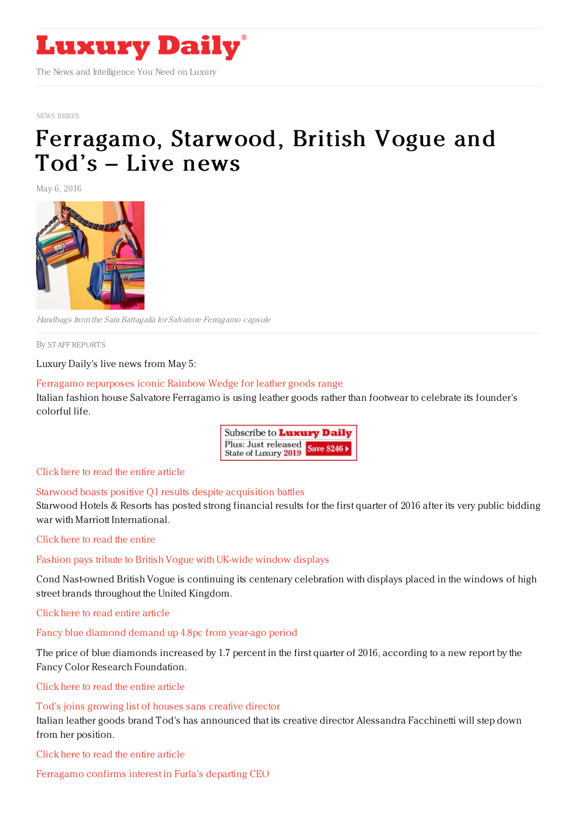

NEWS [BRIEFS](https://www.luxurydaily.com/category/resources/news-briefs)

# [Ferragamo,](https://www.luxurydaily.com/ferragamo-starwood-british-vogue-and-tods-live-news/) Starwood, British Vogue and Tod's – Live news

May 6, 2016



Handbags from the Sara Battagalia for Salvatore Ferragamo capsule

By STAFF [REPORT](file:///author/staff-reports) S

Luxury Daily's live news from May 5:

#### Ferragamo [repurposes](https://www.luxurydaily.com/ferragamo-repurposes-iconic-rainbow-wedge-for-leather-goods-range/) iconic Rainbow Wedge for leather goods range

Italian fashion house Salvatore Ferragamo is using leather goods rather than footwear to celebrate its founder's colorful life.



#### Click here to read the entire [article](https://www.luxurydaily.com/ferragamo-repurposes-iconic-rainbow-wedge-for-leather-goods-range/)

#### Starwood boasts positive Q1 results despite [acquisition](https://www.luxurydaily.com/starwood-boasts-positive-q1-results-despite-acquisition-battles/) battles

Starwood Hotels & Resorts has posted strong financial results for the first quarter of 2016 after its very public bidding war with Marriott International.

#### Click here to read the [entire](https://www.luxurydaily.com/starwood-boasts-positive-q1-results-despite-acquisition-battles/)

#### Fashion pays tribute to British Vogue with [UK-wide](https://www.luxurydaily.com/fashion-pays-tribute-to-british-vogue-with-uk-wide-window-displays/) window displays

Cond Nast-owned British Vogue is continuing its centenary celebration with displays placed in the windows of high street brands throughout the United Kingdom.

Click here to read entire [article](https://www.luxurydaily.com/fashion-pays-tribute-to-british-vogue-with-uk-wide-window-displays/)

### Fancy blue [diamond](https://www.luxurydaily.com/fancy-blue-diamond-demand-up-4-8pc-from-year-ago-period/) demand up 4.8pc from year-ago period

The price of blue diamonds increased by 1.7 percent in the first quarter of 2016, according to a new report by the Fancy Color Research Foundation.

Click here to read the entire [article](https://www.luxurydaily.com/fancy-blue-diamond-demand-up-4-8pc-from-year-ago-period/)

#### Tod's joins [growing](https://www.luxurydaily.com/tods-joins-growing-list-of-houses-sans-creative-director/) list of houses sans creative director

Italian leather goods brand Tod's has announced that its creative director Alessandra Facchinetti will step down from her position.

Click here to read the entire [article](https://www.luxurydaily.com/tods-joins-growing-list-of-houses-sans-creative-director/)

[Ferragamo](https://www.luxurydaily.com/ferragamo-confirms-interest-in-furlas-departing-ceo/) confirms interest in Furla's departing CEO